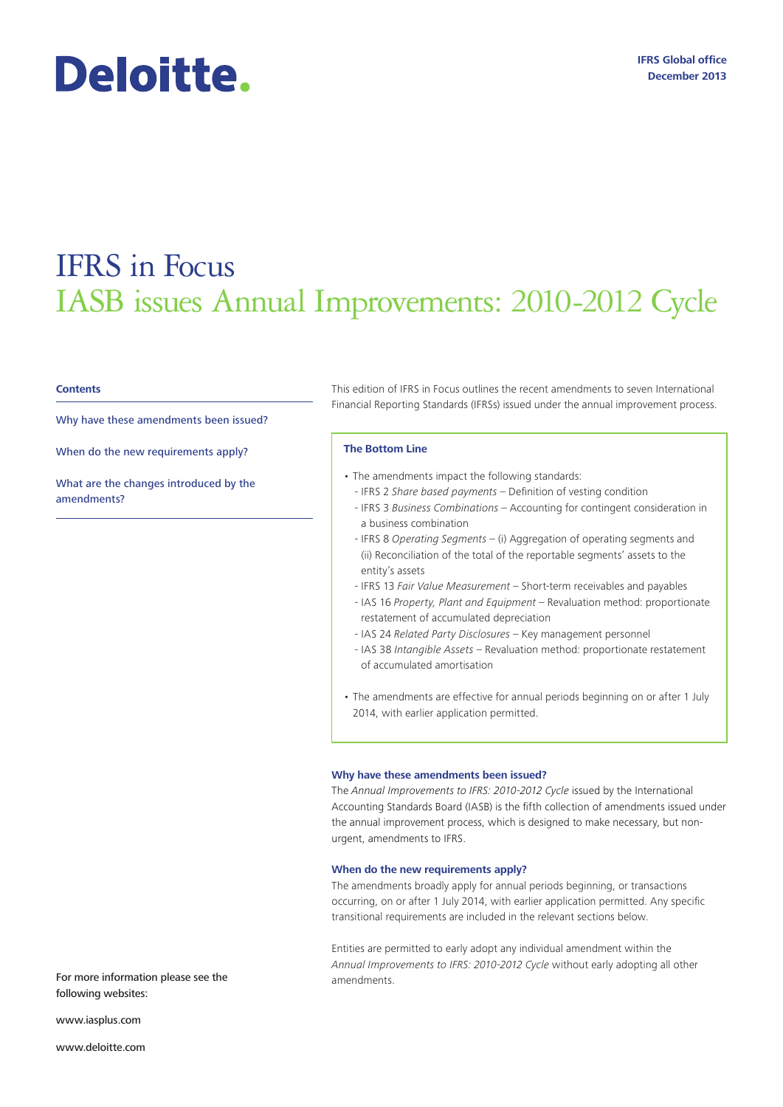# Deloitte.

## IFRS in Focus IASB issues Annual Improvements: 2010-2012 Cycle

#### **Contents**

Why have these amendments been issued?

When do the new requirements apply?

What are the changes introduced by the amendments?

This edition of IFRS in Focus outlines the recent amendments to seven International Financial Reporting Standards (IFRSs) issued under the annual improvement process.

#### **The Bottom Line**

- The amendments impact the following standards:
	- IFRS 2 *Share based payments* Definition of vesting condition
	- IFRS 3 *Business Combinations* Accounting for contingent consideration in a business combination
	- IFRS 8 *Operating Segments* (i) Aggregation of operating segments and (ii) Reconciliation of the total of the reportable segments' assets to the entity's assets
	- IFRS 13 *Fair Value Measurement* Short-term receivables and payables
	- IAS 16 *Property, Plant and Equipment*  Revaluation method: proportionate restatement of accumulated depreciation
	- IAS 24 *Related Party Disclosures*  Key management personnel
	- IAS 38 *Intangible Assets* Revaluation method: proportionate restatement of accumulated amortisation
- The amendments are effective for annual periods beginning on or after 1 July 2014, with earlier application permitted.

#### **Why have these amendments been issued?**

The *Annual Improvements to IFRS: 2010-2012 Cycle* issued by the International Accounting Standards Board (IASB) is the fifth collection of amendments issued under the annual improvement process, which is designed to make necessary, but nonurgent, amendments to IFRS.

#### **When do the new requirements apply?**

The amendments broadly apply for annual periods beginning, or transactions occurring, on or after 1 July 2014, with earlier application permitted. Any specific transitional requirements are included in the relevant sections below.

Entities are permitted to early adopt any individual amendment within the *Annual Improvements to IFRS: 2010-2012 Cycle* without early adopting all other

For more information please see the amendments. following websites:

www.iasplus.com

www.deloitte.com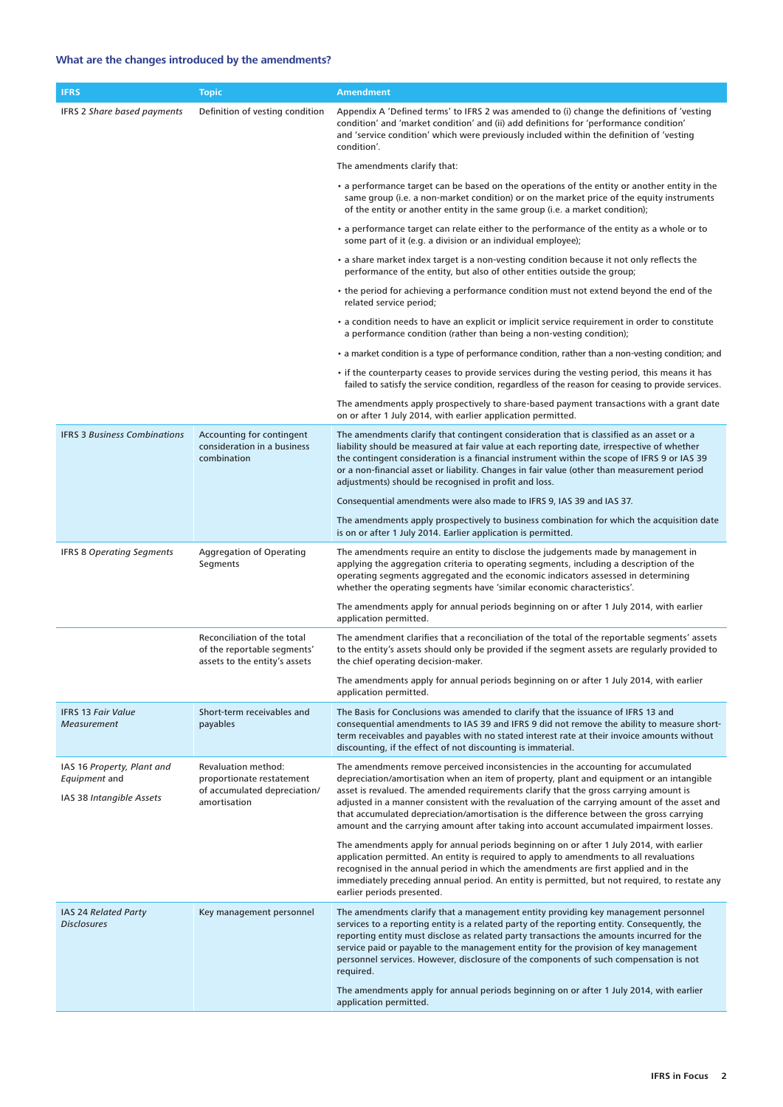### **What are the changes introduced by the amendments?**

| <b>IFRS</b>                                                             | <b>Topic</b>                                                                                     | <b>Amendment</b>                                                                                                                                                                                                                                                                                                                                                                                                                                                              |
|-------------------------------------------------------------------------|--------------------------------------------------------------------------------------------------|-------------------------------------------------------------------------------------------------------------------------------------------------------------------------------------------------------------------------------------------------------------------------------------------------------------------------------------------------------------------------------------------------------------------------------------------------------------------------------|
| <b>IFRS 2 Share based payments</b>                                      | Definition of vesting condition                                                                  | Appendix A 'Defined terms' to IFRS 2 was amended to (i) change the definitions of 'vesting<br>condition' and 'market condition' and (ii) add definitions for 'performance condition'<br>and 'service condition' which were previously included within the definition of 'vesting<br>condition'.                                                                                                                                                                               |
|                                                                         |                                                                                                  | The amendments clarify that:                                                                                                                                                                                                                                                                                                                                                                                                                                                  |
|                                                                         |                                                                                                  | • a performance target can be based on the operations of the entity or another entity in the<br>same group (i.e. a non-market condition) or on the market price of the equity instruments<br>of the entity or another entity in the same group (i.e. a market condition);                                                                                                                                                                                                     |
|                                                                         |                                                                                                  | • a performance target can relate either to the performance of the entity as a whole or to<br>some part of it (e.g. a division or an individual employee);                                                                                                                                                                                                                                                                                                                    |
|                                                                         |                                                                                                  | • a share market index target is a non-vesting condition because it not only reflects the<br>performance of the entity, but also of other entities outside the group;                                                                                                                                                                                                                                                                                                         |
|                                                                         |                                                                                                  | • the period for achieving a performance condition must not extend beyond the end of the<br>related service period;                                                                                                                                                                                                                                                                                                                                                           |
|                                                                         |                                                                                                  | • a condition needs to have an explicit or implicit service requirement in order to constitute<br>a performance condition (rather than being a non-vesting condition);                                                                                                                                                                                                                                                                                                        |
|                                                                         |                                                                                                  | a market condition is a type of performance condition, rather than a non-vesting condition; and                                                                                                                                                                                                                                                                                                                                                                               |
|                                                                         |                                                                                                  | • if the counterparty ceases to provide services during the vesting period, this means it has<br>failed to satisfy the service condition, regardless of the reason for ceasing to provide services.                                                                                                                                                                                                                                                                           |
|                                                                         |                                                                                                  | The amendments apply prospectively to share-based payment transactions with a grant date<br>on or after 1 July 2014, with earlier application permitted.                                                                                                                                                                                                                                                                                                                      |
| <b>IFRS 3 Business Combinations</b>                                     | Accounting for contingent<br>consideration in a business<br>combination                          | The amendments clarify that contingent consideration that is classified as an asset or a<br>liability should be measured at fair value at each reporting date, irrespective of whether<br>the contingent consideration is a financial instrument within the scope of IFRS 9 or IAS 39<br>or a non-financial asset or liability. Changes in fair value (other than measurement period<br>adjustments) should be recognised in profit and loss.                                 |
|                                                                         |                                                                                                  | Consequential amendments were also made to IFRS 9, IAS 39 and IAS 37.                                                                                                                                                                                                                                                                                                                                                                                                         |
|                                                                         |                                                                                                  | The amendments apply prospectively to business combination for which the acquisition date<br>is on or after 1 July 2014. Earlier application is permitted.                                                                                                                                                                                                                                                                                                                    |
| <b>IFRS 8 Operating Segments</b>                                        | <b>Aggregation of Operating</b><br>Segments                                                      | The amendments require an entity to disclose the judgements made by management in<br>applying the aggregation criteria to operating segments, including a description of the<br>operating segments aggregated and the economic indicators assessed in determining<br>whether the operating segments have 'similar economic characteristics'.                                                                                                                                  |
|                                                                         |                                                                                                  | The amendments apply for annual periods beginning on or after 1 July 2014, with earlier<br>application permitted.                                                                                                                                                                                                                                                                                                                                                             |
|                                                                         | Reconciliation of the total<br>of the reportable segments'<br>assets to the entity's assets      | The amendment clarifies that a reconciliation of the total of the reportable segments' assets<br>to the entity's assets should only be provided if the segment assets are regularly provided to<br>the chief operating decision-maker.                                                                                                                                                                                                                                        |
|                                                                         |                                                                                                  | The amendments apply for annual periods beginning on or after 1 July 2014, with earlier<br>application permitted.                                                                                                                                                                                                                                                                                                                                                             |
| <b>IFRS 13 Fair Value</b><br><b>Measurement</b>                         | Short-term receivables and<br>payables                                                           | The Basis for Conclusions was amended to clarify that the issuance of IFRS 13 and<br>consequential amendments to IAS 39 and IFRS 9 did not remove the ability to measure short-<br>term receivables and payables with no stated interest rate at their invoice amounts without<br>discounting, if the effect of not discounting is immaterial.                                                                                                                                |
| IAS 16 Property, Plant and<br>Equipment and<br>IAS 38 Intangible Assets | Revaluation method:<br>proportionate restatement<br>of accumulated depreciation/<br>amortisation | The amendments remove perceived inconsistencies in the accounting for accumulated<br>depreciation/amortisation when an item of property, plant and equipment or an intangible<br>asset is revalued. The amended requirements clarify that the gross carrying amount is<br>adjusted in a manner consistent with the revaluation of the carrying amount of the asset and<br>that accumulated depreciation/amortisation is the difference between the gross carrying             |
|                                                                         |                                                                                                  | amount and the carrying amount after taking into account accumulated impairment losses.                                                                                                                                                                                                                                                                                                                                                                                       |
|                                                                         |                                                                                                  | The amendments apply for annual periods beginning on or after 1 July 2014, with earlier<br>application permitted. An entity is required to apply to amendments to all revaluations<br>recognised in the annual period in which the amendments are first applied and in the<br>immediately preceding annual period. An entity is permitted, but not required, to restate any<br>earlier periods presented.                                                                     |
| IAS 24 Related Party<br><b>Disclosures</b>                              | Key management personnel                                                                         | The amendments clarify that a management entity providing key management personnel<br>services to a reporting entity is a related party of the reporting entity. Consequently, the<br>reporting entity must disclose as related party transactions the amounts incurred for the<br>service paid or payable to the management entity for the provision of key management<br>personnel services. However, disclosure of the components of such compensation is not<br>required. |
|                                                                         |                                                                                                  | The amendments apply for annual periods beginning on or after 1 July 2014, with earlier<br>application permitted.                                                                                                                                                                                                                                                                                                                                                             |